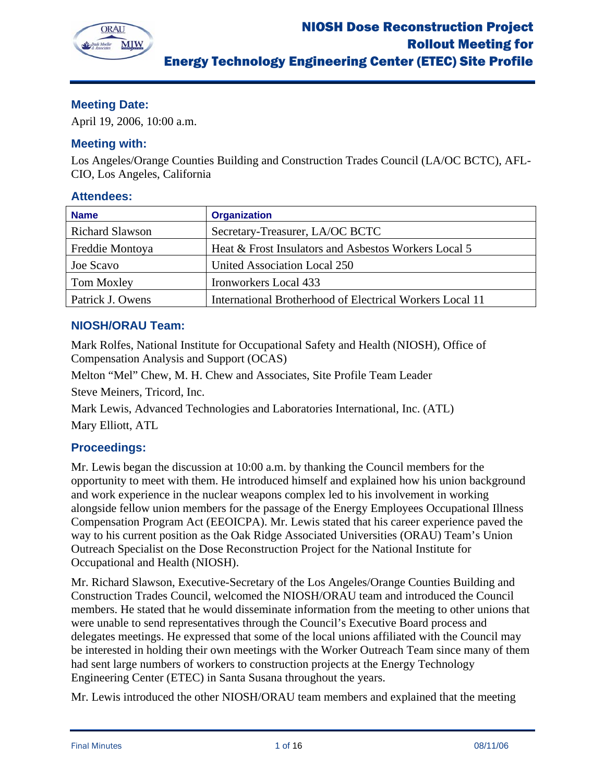

# **Meeting Date:**

April 19, 2006, 10:00 a.m.

# **Meeting with:**

Los Angeles/Orange Counties Building and Construction Trades Council (LA/OC BCTC), AFL-CIO, Los Angeles, California

## **Attendees:**

| <b>Name</b>            | <b>Organization</b>                                      |
|------------------------|----------------------------------------------------------|
| <b>Richard Slawson</b> | Secretary-Treasurer, LA/OC BCTC                          |
| Freddie Montoya        | Heat & Frost Insulators and Asbestos Workers Local 5     |
| Joe Scavo              | United Association Local 250                             |
| Tom Moxley             | Ironworkers Local 433                                    |
| Patrick J. Owens       | International Brotherhood of Electrical Workers Local 11 |

# **NIOSH/ORAU Team:**

Mark Rolfes, National Institute for Occupational Safety and Health (NIOSH), Office of Compensation Analysis and Support (OCAS)

Melton "Mel" Chew, M. H. Chew and Associates, Site Profile Team Leader

Steve Meiners, Tricord, Inc.

Mark Lewis, Advanced Technologies and Laboratories International, Inc. (ATL) Mary Elliott, ATL

# **Proceedings:**

Mr. Lewis began the discussion at 10:00 a.m. by thanking the Council members for the opportunity to meet with them. He introduced himself and explained how his union background and work experience in the nuclear weapons complex led to his involvement in working alongside fellow union members for the passage of the Energy Employees Occupational Illness Compensation Program Act (EEOICPA). Mr. Lewis stated that his career experience paved the way to his current position as the Oak Ridge Associated Universities (ORAU) Team's Union Outreach Specialist on the Dose Reconstruction Project for the National Institute for Occupational and Health (NIOSH).

Mr. Richard Slawson, Executive-Secretary of the Los Angeles/Orange Counties Building and Construction Trades Council, welcomed the NIOSH/ORAU team and introduced the Council members. He stated that he would disseminate information from the meeting to other unions that were unable to send representatives through the Council's Executive Board process and delegates meetings. He expressed that some of the local unions affiliated with the Council may be interested in holding their own meetings with the Worker Outreach Team since many of them had sent large numbers of workers to construction projects at the Energy Technology Engineering Center (ETEC) in Santa Susana throughout the years.

Mr. Lewis introduced the other NIOSH/ORAU team members and explained that the meeting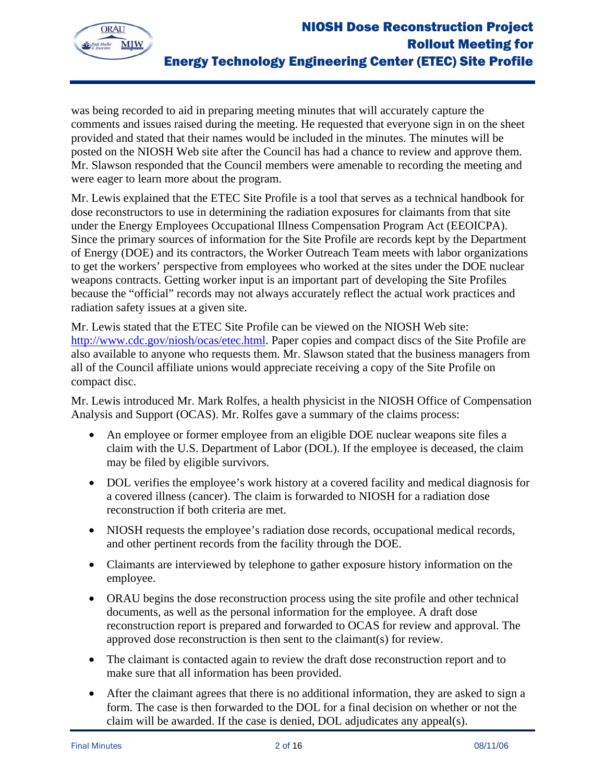

was being recorded to aid in preparing meeting minutes that will accurately capture the comments and issues raised during the meeting. He requested that everyone sign in on the sheet provided and stated that their names would be included in the minutes. The minutes will be posted on the NIOSH Web site after the Council has had a chance to review and approve them. Mr. Slawson responded that the Council members were amenable to recording the meeting and were eager to learn more about the program.

Mr. Lewis explained that the ETEC Site Profile is a tool that serves as a technical handbook for dose reconstructors to use in determining the radiation exposures for claimants from that site under the Energy Employees Occupational Illness Compensation Program Act (EEOICPA). Since the primary sources of information for the Site Profile are records kept by the Department of Energy (DOE) and its contractors, the Worker Outreach Team meets with labor organizations to get the workers' perspective from employees who worked at the sites under the DOE nuclear weapons contracts. Getting worker input is an important part of developing the Site Profiles because the "official" records may not always accurately reflect the actual work practices and radiation safety issues at a given site.

Mr. Lewis stated that the ETEC Site Profile can be viewed on the NIOSH Web site: http://www.cdc.gov/niosh/ocas/etec.html. Paper copies and compact discs of the Site Profile are also available to anyone who requests them. Mr. Slawson stated that the business managers from all of the Council affiliate unions would appreciate receiving a copy of the Site Profile on compact disc.

Mr. Lewis introduced Mr. Mark Rolfes, a health physicist in the NIOSH Office of Compensation Analysis and Support (OCAS). Mr. Rolfes gave a summary of the claims process:

- An employee or former employee from an eligible DOE nuclear weapons site files a claim with the U.S. Department of Labor (DOL). If the employee is deceased, the claim may be filed by eligible survivors.
- DOL verifies the employee's work history at a covered facility and medical diagnosis for a covered illness (cancer). The claim is forwarded to NIOSH for a radiation dose reconstruction if both criteria are met.
- NIOSH requests the employee's radiation dose records, occupational medical records, and other pertinent records from the facility through the DOE.
- Claimants are interviewed by telephone to gather exposure history information on the employee.
- ORAU begins the dose reconstruction process using the site profile and other technical documents, as well as the personal information for the employee. A draft dose reconstruction report is prepared and forwarded to OCAS for review and approval. The approved dose reconstruction is then sent to the claimant(s) for review.
- The claimant is contacted again to review the draft dose reconstruction report and to make sure that all information has been provided.
- After the claimant agrees that there is no additional information, they are asked to sign a form. The case is then forwarded to the DOL for a final decision on whether or not the claim will be awarded. If the case is denied, DOL adjudicates any appeal(s).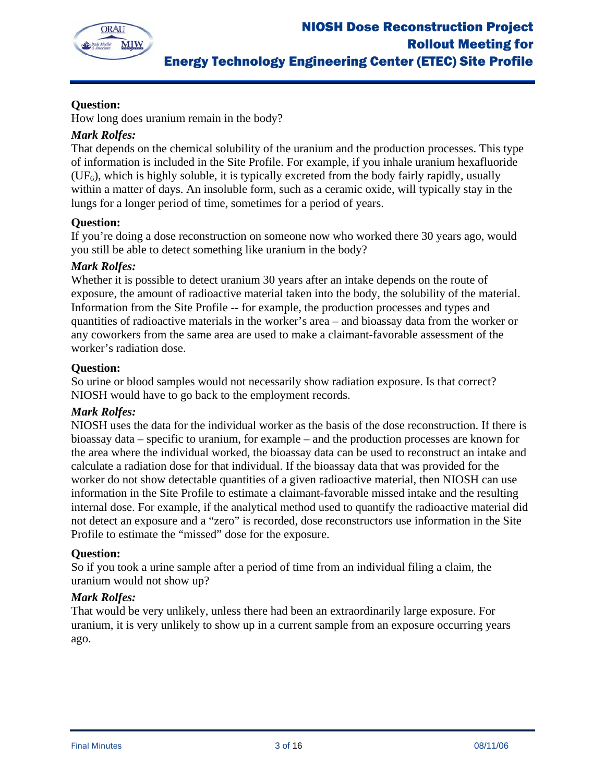

# **Question:**

How long does uranium remain in the body?

## *Mark Rolfes:*

That depends on the chemical solubility of the uranium and the production processes. This type of information is included in the Site Profile. For example, if you inhale uranium hexafluoride  $(UF<sub>6</sub>)$ , which is highly soluble, it is typically excreted from the body fairly rapidly, usually within a matter of days. An insoluble form, such as a ceramic oxide, will typically stay in the lungs for a longer period of time, sometimes for a period of years.

## **Question:**

If you're doing a dose reconstruction on someone now who worked there 30 years ago, would you still be able to detect something like uranium in the body?

## *Mark Rolfes:*

Whether it is possible to detect uranium 30 years after an intake depends on the route of exposure, the amount of radioactive material taken into the body, the solubility of the material. Information from the Site Profile -- for example, the production processes and types and quantities of radioactive materials in the worker's area – and bioassay data from the worker or any coworkers from the same area are used to make a claimant-favorable assessment of the worker's radiation dose.

## **Question:**

So urine or blood samples would not necessarily show radiation exposure. Is that correct? NIOSH would have to go back to the employment records.

## *Mark Rolfes:*

NIOSH uses the data for the individual worker as the basis of the dose reconstruction. If there is bioassay data – specific to uranium, for example – and the production processes are known for the area where the individual worked, the bioassay data can be used to reconstruct an intake and calculate a radiation dose for that individual. If the bioassay data that was provided for the worker do not show detectable quantities of a given radioactive material, then NIOSH can use information in the Site Profile to estimate a claimant-favorable missed intake and the resulting internal dose. For example, if the analytical method used to quantify the radioactive material did not detect an exposure and a "zero" is recorded, dose reconstructors use information in the Site Profile to estimate the "missed" dose for the exposure.

## **Question:**

So if you took a urine sample after a period of time from an individual filing a claim, the uranium would not show up?

#### *Mark Rolfes:*

That would be very unlikely, unless there had been an extraordinarily large exposure. For uranium, it is very unlikely to show up in a current sample from an exposure occurring years ago.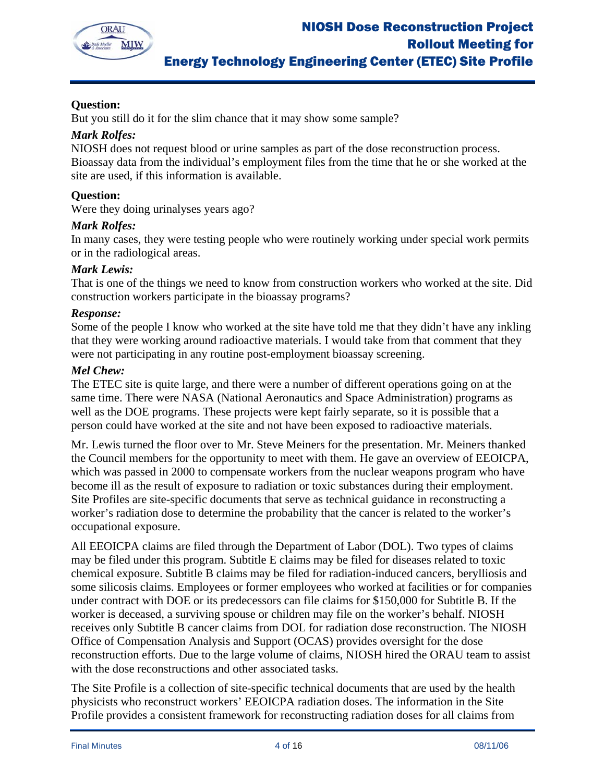

# **Question:**

But you still do it for the slim chance that it may show some sample?

## *Mark Rolfes:*

NIOSH does not request blood or urine samples as part of the dose reconstruction process. Bioassay data from the individual's employment files from the time that he or she worked at the site are used, if this information is available.

## **Question:**

Were they doing urinalyses years ago?

## *Mark Rolfes:*

In many cases, they were testing people who were routinely working under special work permits or in the radiological areas.

## *Mark Lewis:*

That is one of the things we need to know from construction workers who worked at the site. Did construction workers participate in the bioassay programs?

## *Response:*

Some of the people I know who worked at the site have told me that they didn't have any inkling that they were working around radioactive materials. I would take from that comment that they were not participating in any routine post-employment bioassay screening.

## *Mel Chew:*

The ETEC site is quite large, and there were a number of different operations going on at the same time. There were NASA (National Aeronautics and Space Administration) programs as well as the DOE programs. These projects were kept fairly separate, so it is possible that a person could have worked at the site and not have been exposed to radioactive materials.

Mr. Lewis turned the floor over to Mr. Steve Meiners for the presentation. Mr. Meiners thanked the Council members for the opportunity to meet with them. He gave an overview of EEOICPA, which was passed in 2000 to compensate workers from the nuclear weapons program who have become ill as the result of exposure to radiation or toxic substances during their employment. Site Profiles are site-specific documents that serve as technical guidance in reconstructing a worker's radiation dose to determine the probability that the cancer is related to the worker's occupational exposure.

All EEOICPA claims are filed through the Department of Labor (DOL). Two types of claims may be filed under this program. Subtitle E claims may be filed for diseases related to toxic chemical exposure. Subtitle B claims may be filed for radiation-induced cancers, berylliosis and some silicosis claims. Employees or former employees who worked at facilities or for companies under contract with DOE or its predecessors can file claims for \$150,000 for Subtitle B. If the worker is deceased, a surviving spouse or children may file on the worker's behalf. NIOSH receives only Subtitle B cancer claims from DOL for radiation dose reconstruction. The NIOSH Office of Compensation Analysis and Support (OCAS) provides oversight for the dose reconstruction efforts. Due to the large volume of claims, NIOSH hired the ORAU team to assist with the dose reconstructions and other associated tasks.

The Site Profile is a collection of site-specific technical documents that are used by the health physicists who reconstruct workers' EEOICPA radiation doses. The information in the Site Profile provides a consistent framework for reconstructing radiation doses for all claims from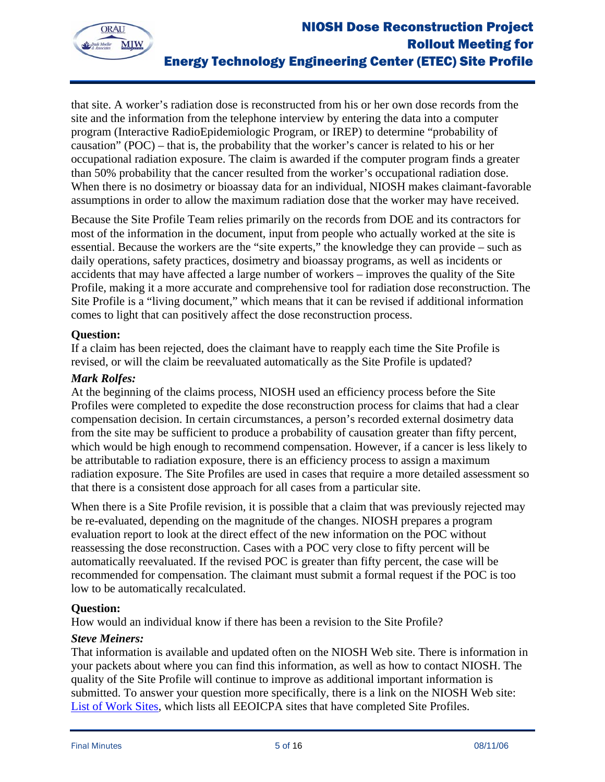

that site. A worker's radiation dose is reconstructed from his or her own dose records from the site and the information from the telephone interview by entering the data into a computer program (Interactive RadioEpidemiologic Program, or IREP) to determine "probability of causation" (POC) – that is, the probability that the worker's cancer is related to his or her occupational radiation exposure. The claim is awarded if the computer program finds a greater than 50% probability that the cancer resulted from the worker's occupational radiation dose. When there is no dosimetry or bioassay data for an individual, NIOSH makes claimant-favorable assumptions in order to allow the maximum radiation dose that the worker may have received.

Because the Site Profile Team relies primarily on the records from DOE and its contractors for most of the information in the document, input from people who actually worked at the site is essential. Because the workers are the "site experts," the knowledge they can provide – such as daily operations, safety practices, dosimetry and bioassay programs, as well as incidents or accidents that may have affected a large number of workers – improves the quality of the Site Profile, making it a more accurate and comprehensive tool for radiation dose reconstruction. The Site Profile is a "living document," which means that it can be revised if additional information comes to light that can positively affect the dose reconstruction process.

## **Question:**

If a claim has been rejected, does the claimant have to reapply each time the Site Profile is revised, or will the claim be reevaluated automatically as the Site Profile is updated?

## *Mark Rolfes:*

At the beginning of the claims process, NIOSH used an efficiency process before the Site Profiles were completed to expedite the dose reconstruction process for claims that had a clear compensation decision. In certain circumstances, a person's recorded external dosimetry data from the site may be sufficient to produce a probability of causation greater than fifty percent, which would be high enough to recommend compensation. However, if a cancer is less likely to be attributable to radiation exposure, there is an efficiency process to assign a maximum radiation exposure. The Site Profiles are used in cases that require a more detailed assessment so that there is a consistent dose approach for all cases from a particular site.

When there is a Site Profile revision, it is possible that a claim that was previously rejected may be re-evaluated, depending on the magnitude of the changes. NIOSH prepares a program evaluation report to look at the direct effect of the new information on the POC without reassessing the dose reconstruction. Cases with a POC very close to fifty percent will be automatically reevaluated. If the revised POC is greater than fifty percent, the case will be recommended for compensation. The claimant must submit a formal request if the POC is too low to be automatically recalculated.

## **Question:**

How would an individual know if there has been a revision to the Site Profile?

## *Steve Meiners:*

That information is available and updated often on the NIOSH Web site. There is information in your packets about where you can find this information, as well as how to contact NIOSH. The quality of the Site Profile will continue to improve as additional important information is submitted. To answer your question more specifically, there is a link on the NIOSH Web site: List of Work Sites, which lists all EEOICPA sites that have completed Site Profiles.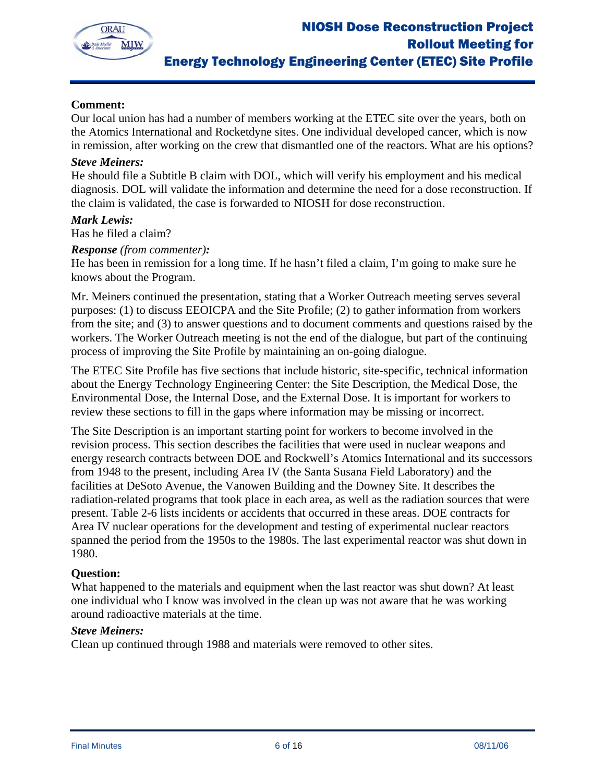

# **Comment:**

Our local union has had a number of members working at the ETEC site over the years, both on the Atomics International and Rocketdyne sites. One individual developed cancer, which is now in remission, after working on the crew that dismantled one of the reactors. What are his options?

#### *Steve Meiners:*

He should file a Subtitle B claim with DOL, which will verify his employment and his medical diagnosis. DOL will validate the information and determine the need for a dose reconstruction. If the claim is validated, the case is forwarded to NIOSH for dose reconstruction.

#### *Mark Lewis:*

Has he filed a claim?

## *Response (from commenter):*

He has been in remission for a long time. If he hasn't filed a claim, I'm going to make sure he knows about the Program.

Mr. Meiners continued the presentation, stating that a Worker Outreach meeting serves several purposes: (1) to discuss EEOICPA and the Site Profile; (2) to gather information from workers from the site; and (3) to answer questions and to document comments and questions raised by the workers. The Worker Outreach meeting is not the end of the dialogue, but part of the continuing process of improving the Site Profile by maintaining an on-going dialogue.

The ETEC Site Profile has five sections that include historic, site-specific, technical information about the Energy Technology Engineering Center: the Site Description, the Medical Dose, the Environmental Dose, the Internal Dose, and the External Dose. It is important for workers to review these sections to fill in the gaps where information may be missing or incorrect.

The Site Description is an important starting point for workers to become involved in the revision process. This section describes the facilities that were used in nuclear weapons and energy research contracts between DOE and Rockwell's Atomics International and its successors from 1948 to the present, including Area IV (the Santa Susana Field Laboratory) and the facilities at DeSoto Avenue, the Vanowen Building and the Downey Site. It describes the radiation-related programs that took place in each area, as well as the radiation sources that were present. Table 2-6 lists incidents or accidents that occurred in these areas. DOE contracts for Area IV nuclear operations for the development and testing of experimental nuclear reactors spanned the period from the 1950s to the 1980s. The last experimental reactor was shut down in 1980.

#### **Question:**

What happened to the materials and equipment when the last reactor was shut down? At least one individual who I know was involved in the clean up was not aware that he was working around radioactive materials at the time.

#### *Steve Meiners:*

Clean up continued through 1988 and materials were removed to other sites.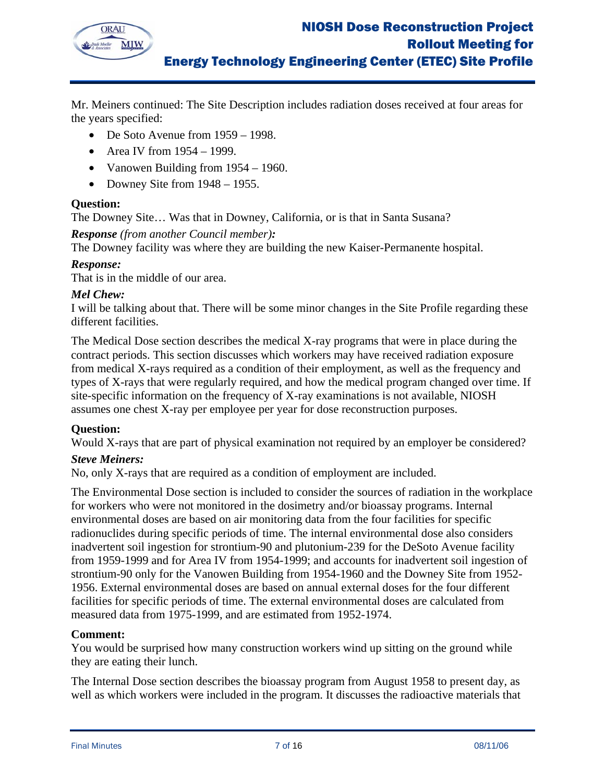

Mr. Meiners continued: The Site Description includes radiation doses received at four areas for the years specified:

- De Soto Avenue from 1959 1998.
- Area IV from 1954 1999.
- Vanowen Building from 1954 1960.
- Downey Site from  $1948 1955$ .

## **Question:**

The Downey Site… Was that in Downey, California, or is that in Santa Susana?

## *Response (from another Council member):*

The Downey facility was where they are building the new Kaiser-Permanente hospital.

## *Response:*

That is in the middle of our area.

## *Mel Chew:*

I will be talking about that. There will be some minor changes in the Site Profile regarding these different facilities.

The Medical Dose section describes the medical X-ray programs that were in place during the contract periods. This section discusses which workers may have received radiation exposure from medical X-rays required as a condition of their employment, as well as the frequency and types of X-rays that were regularly required, and how the medical program changed over time. If site-specific information on the frequency of X-ray examinations is not available, NIOSH assumes one chest X-ray per employee per year for dose reconstruction purposes.

## **Question:**

Would X-rays that are part of physical examination not required by an employer be considered?

## *Steve Meiners:*

No, only X-rays that are required as a condition of employment are included.

The Environmental Dose section is included to consider the sources of radiation in the workplace for workers who were not monitored in the dosimetry and/or bioassay programs. Internal environmental doses are based on air monitoring data from the four facilities for specific radionuclides during specific periods of time. The internal environmental dose also considers inadvertent soil ingestion for strontium-90 and plutonium-239 for the DeSoto Avenue facility from 1959-1999 and for Area IV from 1954-1999; and accounts for inadvertent soil ingestion of strontium-90 only for the Vanowen Building from 1954-1960 and the Downey Site from 1952- 1956. External environmental doses are based on annual external doses for the four different facilities for specific periods of time. The external environmental doses are calculated from measured data from 1975-1999, and are estimated from 1952-1974.

## **Comment:**

You would be surprised how many construction workers wind up sitting on the ground while they are eating their lunch.

The Internal Dose section describes the bioassay program from August 1958 to present day, as well as which workers were included in the program. It discusses the radioactive materials that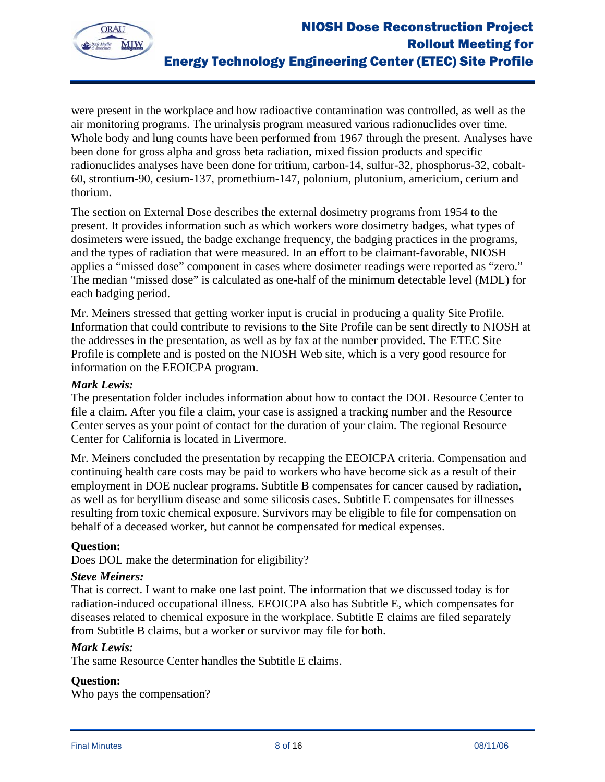

were present in the workplace and how radioactive contamination was controlled, as well as the air monitoring programs. The urinalysis program measured various radionuclides over time. Whole body and lung counts have been performed from 1967 through the present. Analyses have been done for gross alpha and gross beta radiation, mixed fission products and specific radionuclides analyses have been done for tritium, carbon-14, sulfur-32, phosphorus-32, cobalt-60, strontium-90, cesium-137, promethium-147, polonium, plutonium, americium, cerium and thorium.

The section on External Dose describes the external dosimetry programs from 1954 to the present. It provides information such as which workers wore dosimetry badges, what types of dosimeters were issued, the badge exchange frequency, the badging practices in the programs, and the types of radiation that were measured. In an effort to be claimant-favorable, NIOSH applies a "missed dose" component in cases where dosimeter readings were reported as "zero." The median "missed dose" is calculated as one-half of the minimum detectable level (MDL) for each badging period.

Mr. Meiners stressed that getting worker input is crucial in producing a quality Site Profile. Information that could contribute to revisions to the Site Profile can be sent directly to NIOSH at the addresses in the presentation, as well as by fax at the number provided. The ETEC Site Profile is complete and is posted on the NIOSH Web site, which is a very good resource for information on the EEOICPA program.

## *Mark Lewis:*

The presentation folder includes information about how to contact the DOL Resource Center to file a claim. After you file a claim, your case is assigned a tracking number and the Resource Center serves as your point of contact for the duration of your claim. The regional Resource Center for California is located in Livermore.

Mr. Meiners concluded the presentation by recapping the EEOICPA criteria. Compensation and continuing health care costs may be paid to workers who have become sick as a result of their employment in DOE nuclear programs. Subtitle B compensates for cancer caused by radiation, as well as for beryllium disease and some silicosis cases. Subtitle E compensates for illnesses resulting from toxic chemical exposure. Survivors may be eligible to file for compensation on behalf of a deceased worker, but cannot be compensated for medical expenses.

#### **Question:**

Does DOL make the determination for eligibility?

#### *Steve Meiners:*

That is correct. I want to make one last point. The information that we discussed today is for radiation-induced occupational illness. EEOICPA also has Subtitle E, which compensates for diseases related to chemical exposure in the workplace. Subtitle E claims are filed separately from Subtitle B claims, but a worker or survivor may file for both.

## *Mark Lewis:*

The same Resource Center handles the Subtitle E claims.

#### **Question:**

Who pays the compensation?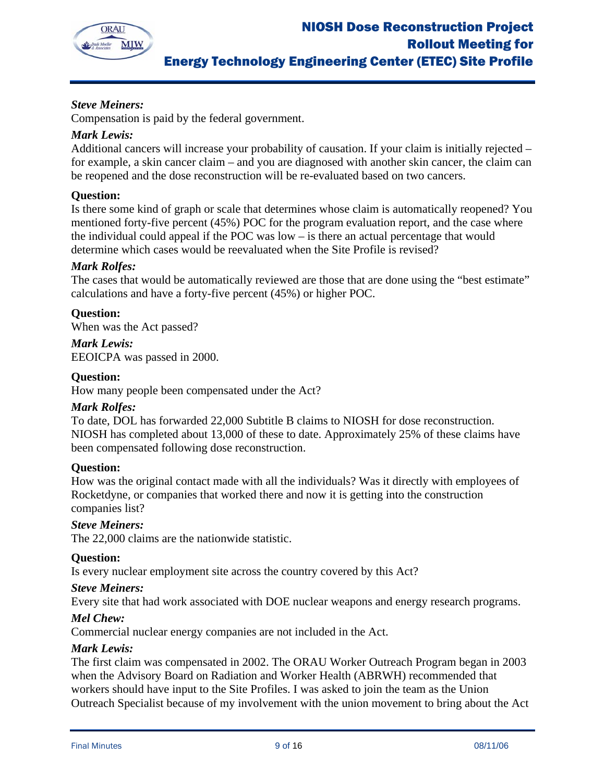

# *Steve Meiners:*

Compensation is paid by the federal government.

## *Mark Lewis:*

Additional cancers will increase your probability of causation. If your claim is initially rejected – for example, a skin cancer claim – and you are diagnosed with another skin cancer, the claim can be reopened and the dose reconstruction will be re-evaluated based on two cancers.

## **Question:**

Is there some kind of graph or scale that determines whose claim is automatically reopened? You mentioned forty-five percent (45%) POC for the program evaluation report, and the case where the individual could appeal if the POC was low – is there an actual percentage that would determine which cases would be reevaluated when the Site Profile is revised?

## *Mark Rolfes:*

The cases that would be automatically reviewed are those that are done using the "best estimate" calculations and have a forty-five percent (45%) or higher POC.

## **Question:**

When was the Act passed?

# *Mark Lewis:*

EEOICPA was passed in 2000.

## **Question:**

How many people been compensated under the Act?

#### *Mark Rolfes:*

To date, DOL has forwarded 22,000 Subtitle B claims to NIOSH for dose reconstruction. NIOSH has completed about 13,000 of these to date. Approximately 25% of these claims have been compensated following dose reconstruction.

#### **Question:**

How was the original contact made with all the individuals? Was it directly with employees of Rocketdyne, or companies that worked there and now it is getting into the construction companies list?

#### *Steve Meiners:*

The 22,000 claims are the nationwide statistic.

#### **Question:**

Is every nuclear employment site across the country covered by this Act?

#### *Steve Meiners:*

Every site that had work associated with DOE nuclear weapons and energy research programs.

## *Mel Chew:*

Commercial nuclear energy companies are not included in the Act.

#### *Mark Lewis:*

The first claim was compensated in 2002. The ORAU Worker Outreach Program began in 2003 when the Advisory Board on Radiation and Worker Health (ABRWH) recommended that workers should have input to the Site Profiles. I was asked to join the team as the Union Outreach Specialist because of my involvement with the union movement to bring about the Act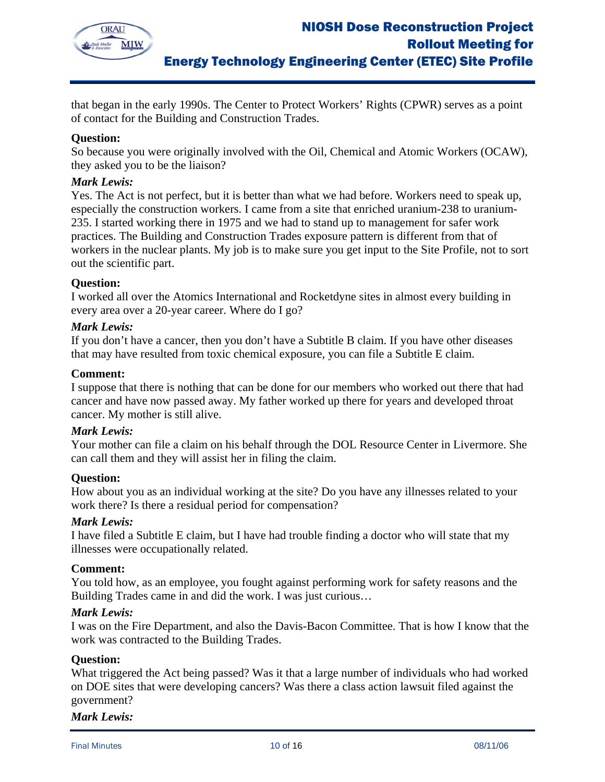

that began in the early 1990s. The Center to Protect Workers' Rights (CPWR) serves as a point of contact for the Building and Construction Trades.

## **Question:**

So because you were originally involved with the Oil, Chemical and Atomic Workers (OCAW), they asked you to be the liaison?

#### *Mark Lewis:*

Yes. The Act is not perfect, but it is better than what we had before. Workers need to speak up, especially the construction workers. I came from a site that enriched uranium-238 to uranium-235. I started working there in 1975 and we had to stand up to management for safer work practices. The Building and Construction Trades exposure pattern is different from that of workers in the nuclear plants. My job is to make sure you get input to the Site Profile, not to sort out the scientific part.

## **Question:**

I worked all over the Atomics International and Rocketdyne sites in almost every building in every area over a 20-year career. Where do I go?

#### *Mark Lewis:*

If you don't have a cancer, then you don't have a Subtitle B claim. If you have other diseases that may have resulted from toxic chemical exposure, you can file a Subtitle E claim.

#### **Comment:**

I suppose that there is nothing that can be done for our members who worked out there that had cancer and have now passed away. My father worked up there for years and developed throat cancer. My mother is still alive.

## *Mark Lewis:*

Your mother can file a claim on his behalf through the DOL Resource Center in Livermore. She can call them and they will assist her in filing the claim.

#### **Question:**

How about you as an individual working at the site? Do you have any illnesses related to your work there? Is there a residual period for compensation?

#### *Mark Lewis:*

I have filed a Subtitle E claim, but I have had trouble finding a doctor who will state that my illnesses were occupationally related.

#### **Comment:**

You told how, as an employee, you fought against performing work for safety reasons and the Building Trades came in and did the work. I was just curious…

#### *Mark Lewis:*

I was on the Fire Department, and also the Davis-Bacon Committee. That is how I know that the work was contracted to the Building Trades.

## **Question:**

What triggered the Act being passed? Was it that a large number of individuals who had worked on DOE sites that were developing cancers? Was there a class action lawsuit filed against the government?

#### *Mark Lewis:*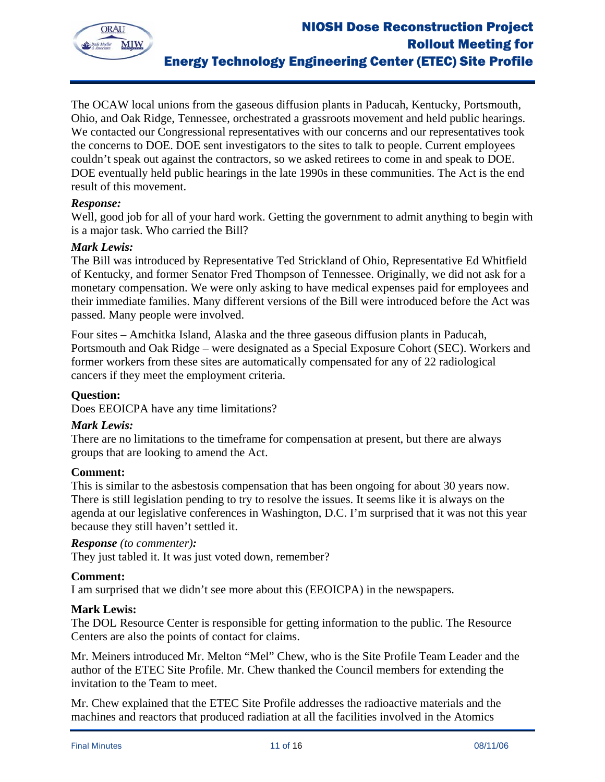

The OCAW local unions from the gaseous diffusion plants in Paducah, Kentucky, Portsmouth, Ohio, and Oak Ridge, Tennessee, orchestrated a grassroots movement and held public hearings. We contacted our Congressional representatives with our concerns and our representatives took the concerns to DOE. DOE sent investigators to the sites to talk to people. Current employees couldn't speak out against the contractors, so we asked retirees to come in and speak to DOE. DOE eventually held public hearings in the late 1990s in these communities. The Act is the end result of this movement.

## *Response:*

Well, good job for all of your hard work. Getting the government to admit anything to begin with is a major task. Who carried the Bill?

## *Mark Lewis:*

The Bill was introduced by Representative Ted Strickland of Ohio, Representative Ed Whitfield of Kentucky, and former Senator Fred Thompson of Tennessee. Originally, we did not ask for a monetary compensation. We were only asking to have medical expenses paid for employees and their immediate families. Many different versions of the Bill were introduced before the Act was passed. Many people were involved.

Four sites – Amchitka Island, Alaska and the three gaseous diffusion plants in Paducah, Portsmouth and Oak Ridge – were designated as a Special Exposure Cohort (SEC). Workers and former workers from these sites are automatically compensated for any of 22 radiological cancers if they meet the employment criteria.

#### **Question:**

Does EEOICPA have any time limitations?

#### *Mark Lewis:*

There are no limitations to the timeframe for compensation at present, but there are always groups that are looking to amend the Act.

## **Comment:**

This is similar to the asbestosis compensation that has been ongoing for about 30 years now. There is still legislation pending to try to resolve the issues. It seems like it is always on the agenda at our legislative conferences in Washington, D.C. I'm surprised that it was not this year because they still haven't settled it.

#### *Response (to commenter):*

They just tabled it. It was just voted down, remember?

## **Comment:**

I am surprised that we didn't see more about this (EEOICPA) in the newspapers.

#### **Mark Lewis:**

The DOL Resource Center is responsible for getting information to the public. The Resource Centers are also the points of contact for claims.

Mr. Meiners introduced Mr. Melton "Mel" Chew, who is the Site Profile Team Leader and the author of the ETEC Site Profile. Mr. Chew thanked the Council members for extending the invitation to the Team to meet.

Mr. Chew explained that the ETEC Site Profile addresses the radioactive materials and the machines and reactors that produced radiation at all the facilities involved in the Atomics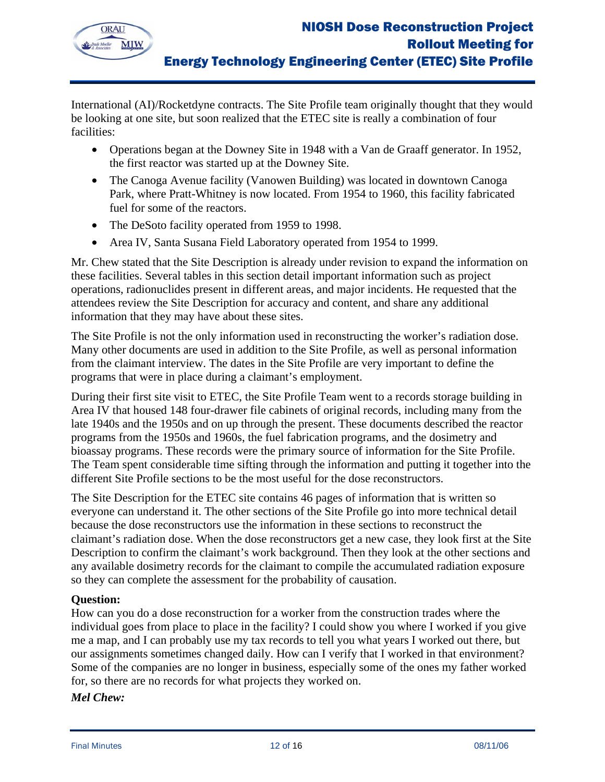

International (AI)/Rocketdyne contracts. The Site Profile team originally thought that they would be looking at one site, but soon realized that the ETEC site is really a combination of four facilities:

- Operations began at the Downey Site in 1948 with a Van de Graaff generator. In 1952, the first reactor was started up at the Downey Site.
- The Canoga Avenue facility (Vanowen Building) was located in downtown Canoga Park, where Pratt-Whitney is now located. From 1954 to 1960, this facility fabricated fuel for some of the reactors.
- The DeSoto facility operated from 1959 to 1998.
- Area IV, Santa Susana Field Laboratory operated from 1954 to 1999.

Mr. Chew stated that the Site Description is already under revision to expand the information on these facilities. Several tables in this section detail important information such as project operations, radionuclides present in different areas, and major incidents. He requested that the attendees review the Site Description for accuracy and content, and share any additional information that they may have about these sites.

The Site Profile is not the only information used in reconstructing the worker's radiation dose. Many other documents are used in addition to the Site Profile, as well as personal information from the claimant interview. The dates in the Site Profile are very important to define the programs that were in place during a claimant's employment.

During their first site visit to ETEC, the Site Profile Team went to a records storage building in Area IV that housed 148 four-drawer file cabinets of original records, including many from the late 1940s and the 1950s and on up through the present. These documents described the reactor programs from the 1950s and 1960s, the fuel fabrication programs, and the dosimetry and bioassay programs. These records were the primary source of information for the Site Profile. The Team spent considerable time sifting through the information and putting it together into the different Site Profile sections to be the most useful for the dose reconstructors.

The Site Description for the ETEC site contains 46 pages of information that is written so everyone can understand it. The other sections of the Site Profile go into more technical detail because the dose reconstructors use the information in these sections to reconstruct the claimant's radiation dose. When the dose reconstructors get a new case, they look first at the Site Description to confirm the claimant's work background. Then they look at the other sections and any available dosimetry records for the claimant to compile the accumulated radiation exposure so they can complete the assessment for the probability of causation.

# **Question:**

How can you do a dose reconstruction for a worker from the construction trades where the individual goes from place to place in the facility? I could show you where I worked if you give me a map, and I can probably use my tax records to tell you what years I worked out there, but our assignments sometimes changed daily. How can I verify that I worked in that environment? Some of the companies are no longer in business, especially some of the ones my father worked for, so there are no records for what projects they worked on.

## *Mel Chew:*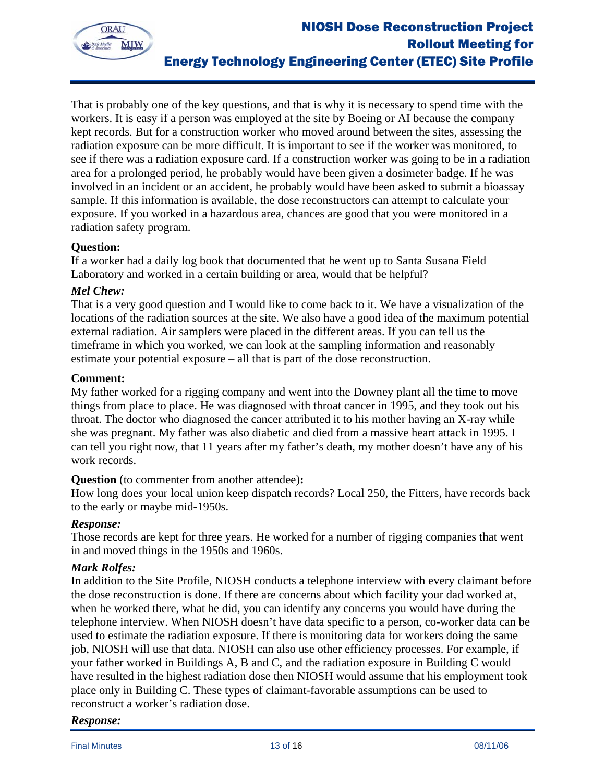

That is probably one of the key questions, and that is why it is necessary to spend time with the workers. It is easy if a person was employed at the site by Boeing or AI because the company kept records. But for a construction worker who moved around between the sites, assessing the radiation exposure can be more difficult. It is important to see if the worker was monitored, to see if there was a radiation exposure card. If a construction worker was going to be in a radiation area for a prolonged period, he probably would have been given a dosimeter badge. If he was involved in an incident or an accident, he probably would have been asked to submit a bioassay sample. If this information is available, the dose reconstructors can attempt to calculate your exposure. If you worked in a hazardous area, chances are good that you were monitored in a radiation safety program.

## **Question:**

If a worker had a daily log book that documented that he went up to Santa Susana Field Laboratory and worked in a certain building or area, would that be helpful?

## *Mel Chew:*

That is a very good question and I would like to come back to it. We have a visualization of the locations of the radiation sources at the site. We also have a good idea of the maximum potential external radiation. Air samplers were placed in the different areas. If you can tell us the timeframe in which you worked, we can look at the sampling information and reasonably estimate your potential exposure – all that is part of the dose reconstruction.

## **Comment:**

My father worked for a rigging company and went into the Downey plant all the time to move things from place to place. He was diagnosed with throat cancer in 1995, and they took out his throat. The doctor who diagnosed the cancer attributed it to his mother having an X-ray while she was pregnant. My father was also diabetic and died from a massive heart attack in 1995. I can tell you right now, that 11 years after my father's death, my mother doesn't have any of his work records.

## **Question** (to commenter from another attendee)**:**

How long does your local union keep dispatch records? Local 250, the Fitters, have records back to the early or maybe mid-1950s.

#### *Response:*

Those records are kept for three years. He worked for a number of rigging companies that went in and moved things in the 1950s and 1960s.

## *Mark Rolfes:*

In addition to the Site Profile, NIOSH conducts a telephone interview with every claimant before the dose reconstruction is done. If there are concerns about which facility your dad worked at, when he worked there, what he did, you can identify any concerns you would have during the telephone interview. When NIOSH doesn't have data specific to a person, co-worker data can be used to estimate the radiation exposure. If there is monitoring data for workers doing the same job, NIOSH will use that data. NIOSH can also use other efficiency processes. For example, if your father worked in Buildings A, B and C, and the radiation exposure in Building C would have resulted in the highest radiation dose then NIOSH would assume that his employment took place only in Building C. These types of claimant-favorable assumptions can be used to reconstruct a worker's radiation dose.

#### *Response:*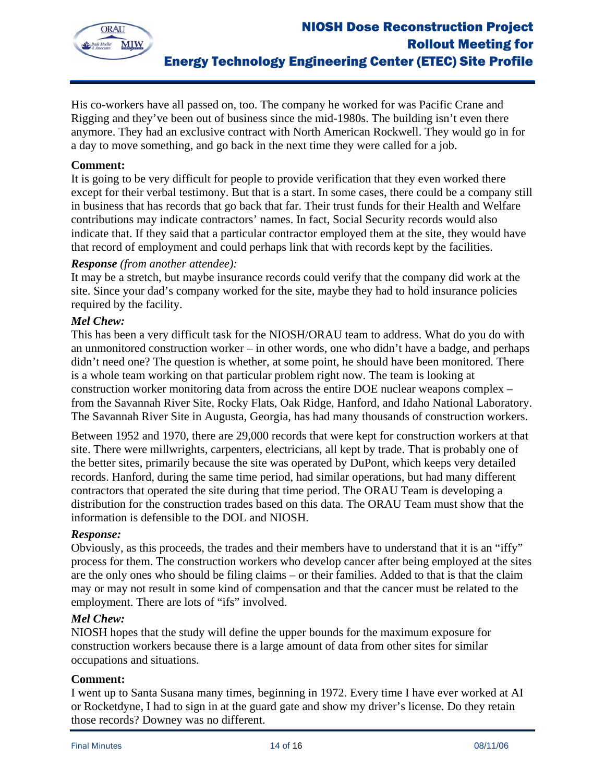

His co-workers have all passed on, too. The company he worked for was Pacific Crane and Rigging and they've been out of business since the mid-1980s. The building isn't even there anymore. They had an exclusive contract with North American Rockwell. They would go in for a day to move something, and go back in the next time they were called for a job.

## **Comment:**

It is going to be very difficult for people to provide verification that they even worked there except for their verbal testimony. But that is a start. In some cases, there could be a company still in business that has records that go back that far. Their trust funds for their Health and Welfare contributions may indicate contractors' names. In fact, Social Security records would also indicate that. If they said that a particular contractor employed them at the site, they would have that record of employment and could perhaps link that with records kept by the facilities.

## *Response (from another attendee):*

It may be a stretch, but maybe insurance records could verify that the company did work at the site. Since your dad's company worked for the site, maybe they had to hold insurance policies required by the facility.

## *Mel Chew:*

This has been a very difficult task for the NIOSH/ORAU team to address. What do you do with an unmonitored construction worker – in other words, one who didn't have a badge, and perhaps didn't need one? The question is whether, at some point, he should have been monitored. There is a whole team working on that particular problem right now. The team is looking at construction worker monitoring data from across the entire DOE nuclear weapons complex – from the Savannah River Site, Rocky Flats, Oak Ridge, Hanford, and Idaho National Laboratory. The Savannah River Site in Augusta, Georgia, has had many thousands of construction workers.

Between 1952 and 1970, there are 29,000 records that were kept for construction workers at that site. There were millwrights, carpenters, electricians, all kept by trade. That is probably one of the better sites, primarily because the site was operated by DuPont, which keeps very detailed records. Hanford, during the same time period, had similar operations, but had many different contractors that operated the site during that time period. The ORAU Team is developing a distribution for the construction trades based on this data. The ORAU Team must show that the information is defensible to the DOL and NIOSH.

#### *Response:*

Obviously, as this proceeds, the trades and their members have to understand that it is an "iffy" process for them. The construction workers who develop cancer after being employed at the sites are the only ones who should be filing claims – or their families. Added to that is that the claim may or may not result in some kind of compensation and that the cancer must be related to the employment. There are lots of "ifs" involved.

## *Mel Chew:*

NIOSH hopes that the study will define the upper bounds for the maximum exposure for construction workers because there is a large amount of data from other sites for similar occupations and situations.

#### **Comment:**

I went up to Santa Susana many times, beginning in 1972. Every time I have ever worked at AI or Rocketdyne, I had to sign in at the guard gate and show my driver's license. Do they retain those records? Downey was no different.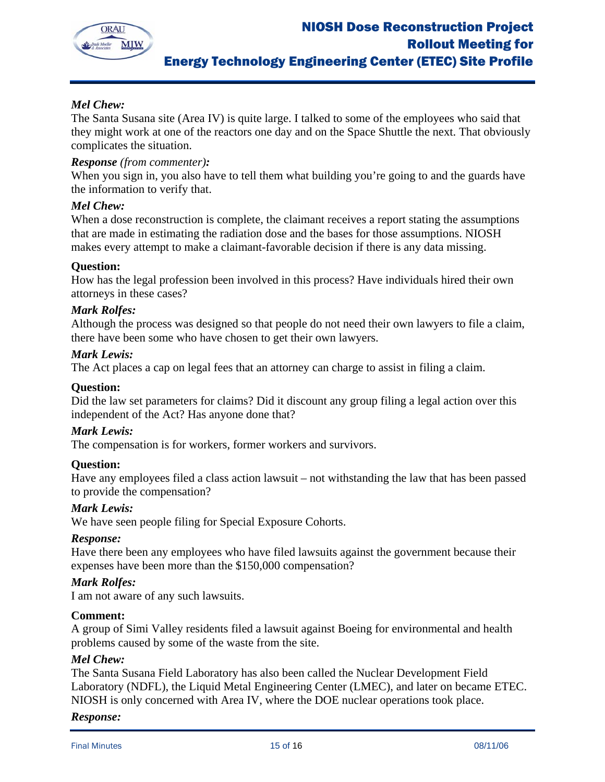

# *Mel Chew:*

The Santa Susana site (Area IV) is quite large. I talked to some of the employees who said that they might work at one of the reactors one day and on the Space Shuttle the next. That obviously complicates the situation.

#### *Response (from commenter):*

When you sign in, you also have to tell them what building you're going to and the guards have the information to verify that.

#### *Mel Chew:*

When a dose reconstruction is complete, the claimant receives a report stating the assumptions that are made in estimating the radiation dose and the bases for those assumptions. NIOSH makes every attempt to make a claimant-favorable decision if there is any data missing.

## **Question:**

How has the legal profession been involved in this process? Have individuals hired their own attorneys in these cases?

## *Mark Rolfes:*

Although the process was designed so that people do not need their own lawyers to file a claim, there have been some who have chosen to get their own lawyers.

#### *Mark Lewis:*

The Act places a cap on legal fees that an attorney can charge to assist in filing a claim.

#### **Question:**

Did the law set parameters for claims? Did it discount any group filing a legal action over this independent of the Act? Has anyone done that?

#### *Mark Lewis:*

The compensation is for workers, former workers and survivors.

#### **Question:**

Have any employees filed a class action lawsuit – not withstanding the law that has been passed to provide the compensation?

#### *Mark Lewis:*

We have seen people filing for Special Exposure Cohorts.

#### *Response:*

Have there been any employees who have filed lawsuits against the government because their expenses have been more than the \$150,000 compensation?

## *Mark Rolfes:*

I am not aware of any such lawsuits.

#### **Comment:**

A group of Simi Valley residents filed a lawsuit against Boeing for environmental and health problems caused by some of the waste from the site.

#### *Mel Chew:*

The Santa Susana Field Laboratory has also been called the Nuclear Development Field Laboratory (NDFL), the Liquid Metal Engineering Center (LMEC), and later on became ETEC. NIOSH is only concerned with Area IV, where the DOE nuclear operations took place.

#### *Response:*